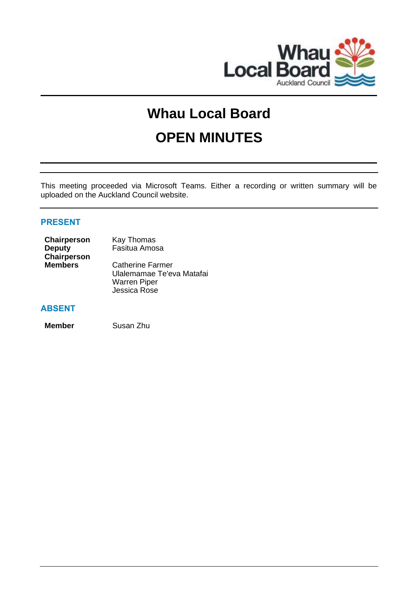

# **Whau Local Board**

# **OPEN MINUTES**

This meeting proceeded via Microsoft Teams. Either a recording or written summary will be uploaded on the Auckland Council website.

### **PRESENT**

| Chairperson    | Kay Thomas                |
|----------------|---------------------------|
| <b>Deputy</b>  | Fasitua Amosa             |
| Chairperson    |                           |
| <b>Members</b> | <b>Catherine Farmer</b>   |
|                | Ulalemamae Te'eva Matafai |
|                | <b>Warren Piper</b>       |
|                | Jessica Rose              |

#### **ABSENT**

**Member** Susan Zhu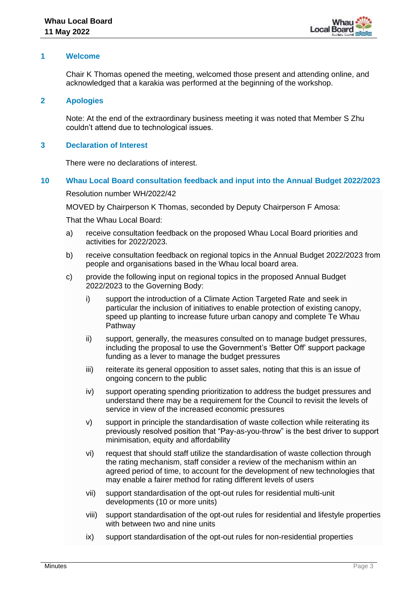#### **1 Welcome**

Chair K Thomas opened the meeting, welcomed those present and attending online, and acknowledged that a karakia was performed at the beginning of the workshop.

**2 Apologies**

Note: At the end of the extraordinary business meeting it was noted that Member S Zhu couldn't attend due to technological issues.

#### **3 Declaration of Interest**

There were no declarations of interest.

#### **10 Whau Local Board consultation feedback and input into the Annual Budget 2022/2023**

Resolution number WH/2022/42

MOVED by Chairperson K Thomas, seconded by Deputy Chairperson F Amosa:

That the Whau Local Board:

- a) receive consultation feedback on the proposed Whau Local Board priorities and activities for 2022/2023.
- b) receive consultation feedback on regional topics in the Annual Budget 2022/2023 from people and organisations based in the Whau local board area.
- c) provide the following input on regional topics in the proposed Annual Budget 2022/2023 to the Governing Body:
	- i) support the introduction of a Climate Action Targeted Rate and seek in particular the inclusion of initiatives to enable protection of existing canopy, speed up planting to increase future urban canopy and complete Te Whau Pathway
	- ii) support, generally, the measures consulted on to manage budget pressures, including the proposal to use the Government's 'Better Off' support package funding as a lever to manage the budget pressures
	- iii) reiterate its general opposition to asset sales, noting that this is an issue of ongoing concern to the public
	- iv) support operating spending prioritization to address the budget pressures and understand there may be a requirement for the Council to revisit the levels of service in view of the increased economic pressures
	- v) support in principle the standardisation of waste collection while reiterating its previously resolved position that "Pay-as-you-throw" is the best driver to support minimisation, equity and affordability
	- vi) request that should staff utilize the standardisation of waste collection through the rating mechanism, staff consider a review of the mechanism within an agreed period of time, to account for the development of new technologies that may enable a fairer method for rating different levels of users
	- vii) support standardisation of the opt-out rules for residential multi-unit developments (10 or more units)
	- viii) support standardisation of the opt-out rules for residential and lifestyle properties with between two and nine units
	- ix) support standardisation of the opt-out rules for non-residential properties